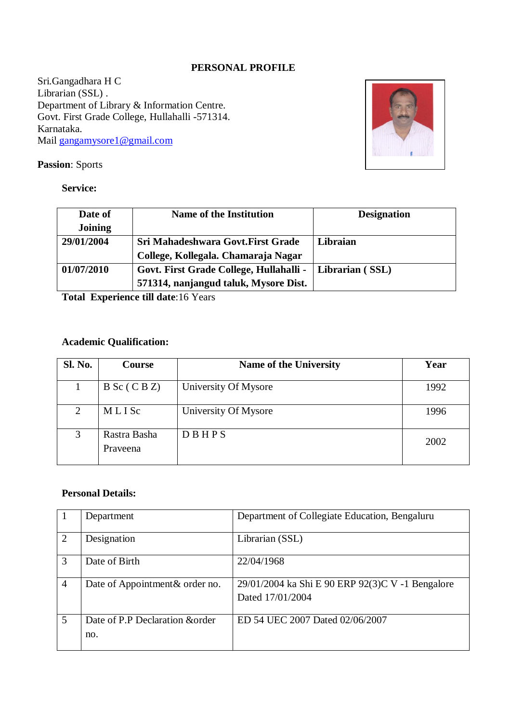### **PERSONAL PROFILE**

Sri.Gangadhara H C Librarian (SSL) . Department of Library & Information Centre. Govt. First Grade College, Hullahalli -571314. Karnataka. Mail [gangamysore1@gmail.com](mailto:gangamysore1@gmail.com)



### **Passion**: Sports

### **Service:**

| Date of    | <b>Name of the Institution</b>          | <b>Designation</b> |
|------------|-----------------------------------------|--------------------|
| Joining    |                                         |                    |
| 29/01/2004 | Sri Mahadeshwara Govt. First Grade      | Libraian           |
|            | College, Kollegala. Chamaraja Nagar     |                    |
| 01/07/2010 | Govt. First Grade College, Hullahalli - | Librarian (SSL)    |
|            | 571314, nanjangud taluk, Mysore Dist.   |                    |

**Total Experience till date**:16 Years

### **Academic Qualification:**

| Sl. No. | Course                   | <b>Name of the University</b> | Year |
|---------|--------------------------|-------------------------------|------|
|         | $B Sc$ (CBZ)             | University Of Mysore          | 1992 |
| 2       | MLISC                    | University Of Mysore          | 1996 |
| 3       | Rastra Basha<br>Prayeena | DBHPS                         | 2002 |

### **Personal Details:**

|                | Department                             | Department of Collegiate Education, Bengaluru                        |
|----------------|----------------------------------------|----------------------------------------------------------------------|
| $\overline{2}$ | Designation                            | Librarian (SSL)                                                      |
| 3              | Date of Birth                          | 22/04/1968                                                           |
| $\overline{4}$ | Date of Appointment & order no.        | 29/01/2004 ka Shi E 90 ERP 92(3)C V -1 Bengalore<br>Dated 17/01/2004 |
| 5              | Date of P.P Declaration & order<br>no. | ED 54 UEC 2007 Dated 02/06/2007                                      |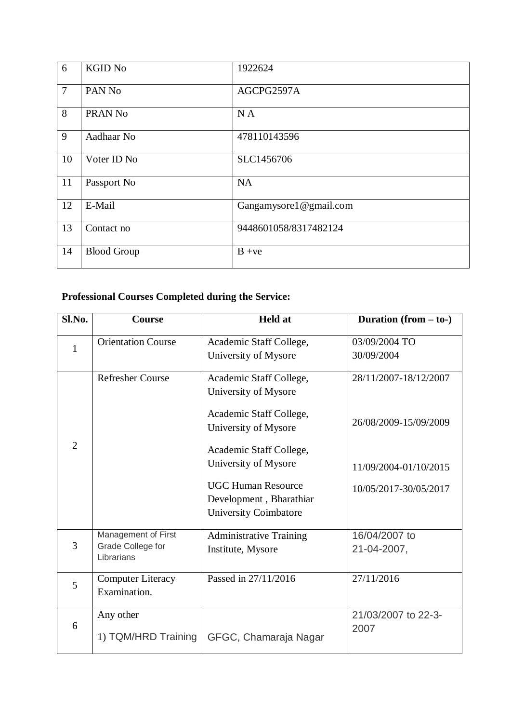| 6              | <b>KGID No</b>     | 1922624                |
|----------------|--------------------|------------------------|
| $\overline{7}$ | PAN No             | AGCPG2597A             |
| 8              | PRAN No            | NA                     |
| 9              | Aadhaar No         | 478110143596           |
| 10             | Voter ID No        | SLC1456706             |
| 11             | Passport No        | <b>NA</b>              |
| 12             | E-Mail             | Gangamysore1@gmail.com |
| 13             | Contact no         | 9448601058/8317482124  |
| 14             | <b>Blood Group</b> | $B + ve$               |

## **Professional Courses Completed during the Service:**

| Sl.No.         | Course                                                 | <b>Held</b> at                                                                | Duration $(from - to-)$                        |
|----------------|--------------------------------------------------------|-------------------------------------------------------------------------------|------------------------------------------------|
| $\mathbf{1}$   | <b>Orientation Course</b>                              | Academic Staff College,<br>University of Mysore                               | 03/09/2004 TO<br>30/09/2004                    |
|                | <b>Refresher Course</b>                                | Academic Staff College,<br>University of Mysore<br>Academic Staff College,    | 28/11/2007-18/12/2007<br>26/08/2009-15/09/2009 |
| $\overline{2}$ |                                                        | University of Mysore<br>Academic Staff College,<br>University of Mysore       | 11/09/2004-01/10/2015                          |
|                |                                                        | <b>UGC Human Resource</b><br>Development, Bharathiar<br>University Coimbatore | 10/05/2017-30/05/2017                          |
| $\overline{3}$ | Management of First<br>Grade College for<br>Librarians | <b>Administrative Training</b><br>Institute, Mysore                           | 16/04/2007 to<br>21-04-2007,                   |
| 5              | <b>Computer Literacy</b><br>Examination.               | Passed in 27/11/2016                                                          | 27/11/2016                                     |
| 6              | Any other<br>1) TQM/HRD Training                       | GFGC, Chamaraja Nagar                                                         | 21/03/2007 to 22-3-<br>2007                    |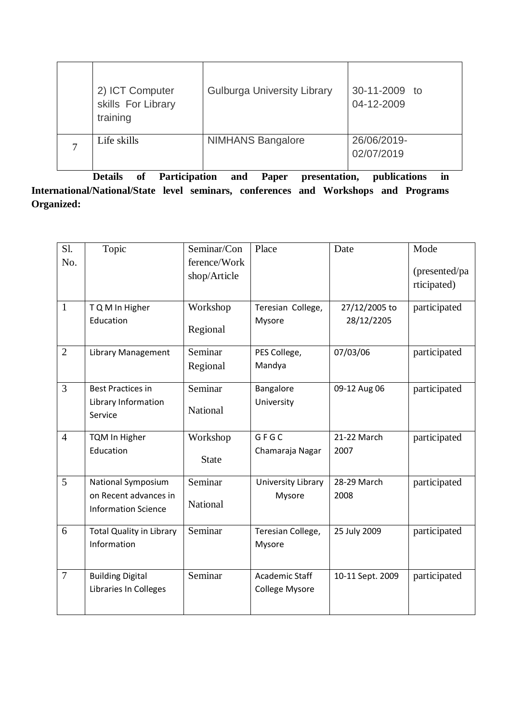| 2) ICT Computer<br>skills For Library<br>training | <b>Gulburga University Library</b> | 30-11-2009 to<br>04-12-2009 |
|---------------------------------------------------|------------------------------------|-----------------------------|
| Life skills                                       | <b>NIMHANS Bangalore</b>           | 26/06/2019-<br>02/07/2019   |

**Details of Participation and Paper presentation, publications in International/National/State level seminars, conferences and Workshops and Programs Organized:**

| Sl.            | Topic                                                                     | Seminar/Con<br>ference/Work | Place                                   | Date                        | Mode                         |
|----------------|---------------------------------------------------------------------------|-----------------------------|-----------------------------------------|-----------------------------|------------------------------|
| No.            |                                                                           | shop/Article                |                                         |                             | (presented/pa<br>rticipated) |
| $\mathbf{1}$   | T Q M In Higher<br>Education                                              | Workshop<br>Regional        | Teresian College,<br>Mysore             | 27/12/2005 to<br>28/12/2205 | participated                 |
| $\overline{2}$ | <b>Library Management</b>                                                 | Seminar<br>Regional         | PES College,<br>Mandya                  | 07/03/06                    | participated                 |
| 3              | <b>Best Practices in</b><br>Library Information<br>Service                | Seminar<br>National         | Bangalore<br>University                 | 09-12 Aug 06                | participated                 |
| $\overline{4}$ | <b>TQM In Higher</b><br>Education                                         | Workshop<br><b>State</b>    | GFGC<br>Chamaraja Nagar                 | 21-22 March<br>2007         | participated                 |
| 5              | National Symposium<br>on Recent advances in<br><b>Information Science</b> | Seminar<br>National         | University Library<br>Mysore            | 28-29 March<br>2008         | participated                 |
| 6              | <b>Total Quality in Library</b><br>Information                            | Seminar                     | Teresian College,<br>Mysore             | 25 July 2009                | participated                 |
| $\overline{7}$ | <b>Building Digital</b><br>Libraries In Colleges                          | Seminar                     | Academic Staff<br><b>College Mysore</b> | 10-11 Sept. 2009            | participated                 |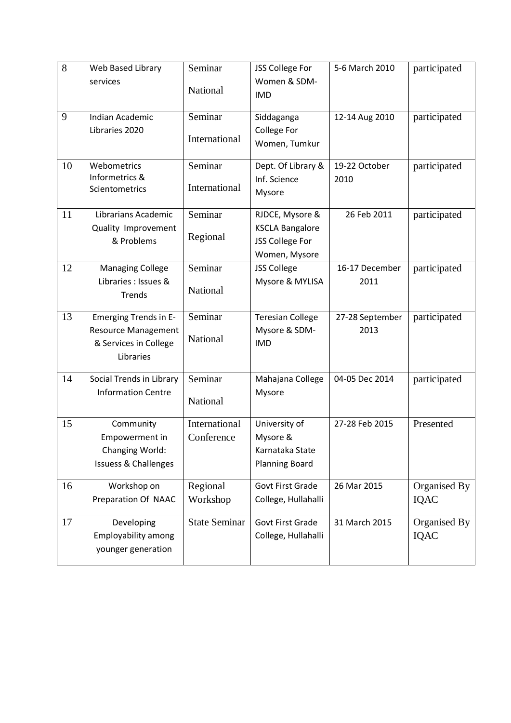| 8  | Web Based Library<br>services                                                             | Seminar<br>National         | JSS College For<br>Women & SDM-<br><b>IMD</b>                                 | 5-6 March 2010          | participated                |
|----|-------------------------------------------------------------------------------------------|-----------------------------|-------------------------------------------------------------------------------|-------------------------|-----------------------------|
| 9  | Indian Academic<br>Libraries 2020                                                         | Seminar<br>International    | Siddaganga<br><b>College For</b><br>Women, Tumkur                             | 12-14 Aug 2010          | participated                |
| 10 | Webometrics<br>Informetrics &<br>Scientometrics                                           | Seminar<br>International    | Dept. Of Library &<br>Inf. Science<br>Mysore                                  | 19-22 October<br>2010   | participated                |
| 11 | Librarians Academic<br>Quality Improvement<br>& Problems                                  | Seminar<br>Regional         | RJDCE, Mysore &<br><b>KSCLA Bangalore</b><br>JSS College For<br>Women, Mysore | 26 Feb 2011             | participated                |
| 12 | <b>Managing College</b><br>Libraries : Issues &<br>Trends                                 | Seminar<br>National         | <b>JSS College</b><br>Mysore & MYLISA                                         | 16-17 December<br>2011  | participated                |
| 13 | Emerging Trends in E-<br><b>Resource Management</b><br>& Services in College<br>Libraries | Seminar<br>National         | <b>Teresian College</b><br>Mysore & SDM-<br><b>IMD</b>                        | 27-28 September<br>2013 | participated                |
| 14 | Social Trends in Library<br><b>Information Centre</b>                                     | Seminar<br>National         | Mahajana College<br>Mysore                                                    | 04-05 Dec 2014          | participated                |
| 15 | Community<br>Empowerment in<br>Changing World:<br><b>Issuess &amp; Challenges</b>         | International<br>Conference | University of<br>Mysore &<br>Karnataka State<br><b>Planning Board</b>         | 27-28 Feb 2015          | Presented                   |
| 16 | Workshop on<br>Preparation Of NAAC                                                        | Regional<br>Workshop        | <b>Govt First Grade</b><br>College, Hullahalli                                | 26 Mar 2015             | Organised By<br>IQAC        |
| 17 | Developing<br><b>Employability among</b><br>younger generation                            | <b>State Seminar</b>        | <b>Govt First Grade</b><br>College, Hullahalli                                | 31 March 2015           | Organised By<br><b>IQAC</b> |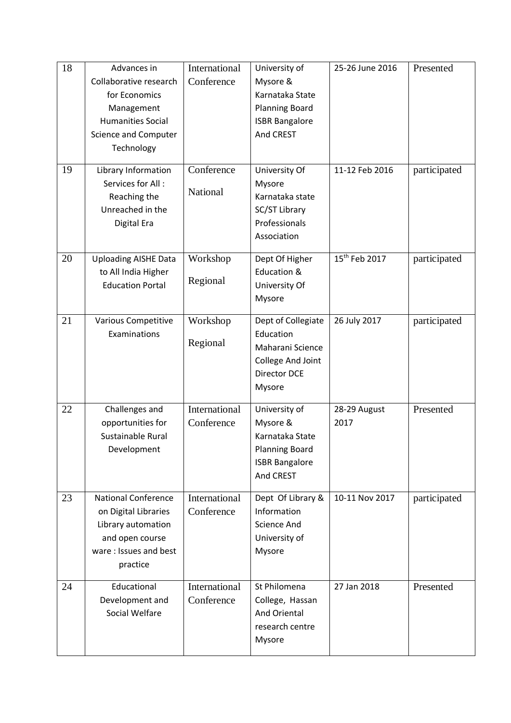| 18<br>19 | Advances in<br>Collaborative research<br>for Economics<br>Management<br><b>Humanities Social</b><br><b>Science and Computer</b><br>Technology<br>Library Information<br>Services for All:<br>Reaching the<br>Unreached in the<br>Digital Era | International<br>Conference<br>Conference<br>National | University of<br>Mysore &<br>Karnataka State<br><b>Planning Board</b><br><b>ISBR Bangalore</b><br>And CREST<br>University Of<br>Mysore<br>Karnataka state<br>SC/ST Library<br>Professionals<br>Association | 25-26 June 2016<br>11-12 Feb 2016 | Presented<br>participated |
|----------|----------------------------------------------------------------------------------------------------------------------------------------------------------------------------------------------------------------------------------------------|-------------------------------------------------------|------------------------------------------------------------------------------------------------------------------------------------------------------------------------------------------------------------|-----------------------------------|---------------------------|
| 20       | <b>Uploading AISHE Data</b><br>to All India Higher<br><b>Education Portal</b>                                                                                                                                                                | Workshop<br>Regional                                  | Dept Of Higher<br>Education &<br>University Of<br>Mysore                                                                                                                                                   | 15 <sup>th</sup> Feb 2017         | participated              |
| 21       | <b>Various Competitive</b><br>Examinations                                                                                                                                                                                                   | Workshop<br>Regional                                  | Dept of Collegiate<br>Education<br>Maharani Science<br>College And Joint<br><b>Director DCE</b><br>Mysore                                                                                                  | 26 July 2017                      | participated              |
| 22       | Challenges and<br>opportunities for<br>Sustainable Rural<br>Development                                                                                                                                                                      | International<br>Conference                           | University of<br>Mysore &<br>Karnataka State<br><b>Planning Board</b><br><b>ISBR Bangalore</b><br>And CREST                                                                                                | 28-29 August<br>2017              | Presented                 |
| 23       | <b>National Conference</b><br>on Digital Libraries<br>Library automation<br>and open course<br>ware: Issues and best<br>practice                                                                                                             | International<br>Conference                           | Dept Of Library &<br>Information<br><b>Science And</b><br>University of<br>Mysore                                                                                                                          | 10-11 Nov 2017                    | participated              |
| 24       | Educational<br>Development and<br>Social Welfare                                                                                                                                                                                             | International<br>Conference                           | St Philomena<br>College, Hassan<br>And Oriental<br>research centre<br>Mysore                                                                                                                               | 27 Jan 2018                       | Presented                 |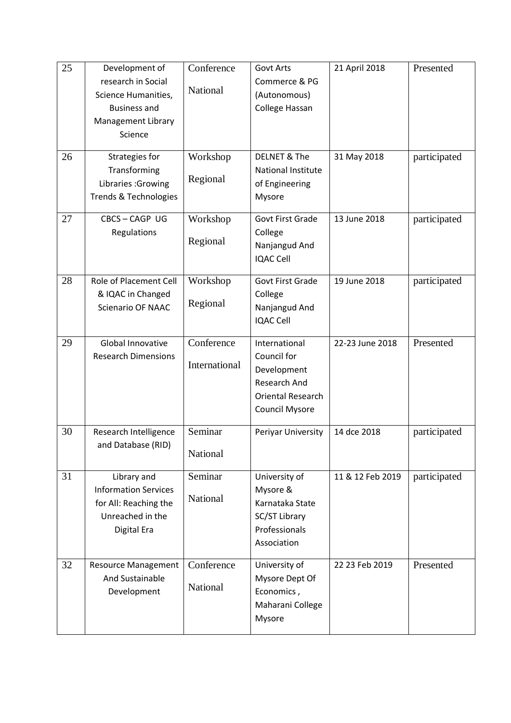| 25 | Development of<br>research in Social<br>Science Humanities,<br><b>Business and</b><br>Management Library<br>Science | Conference<br>National      | <b>Govt Arts</b><br>Commerce & PG<br>(Autonomous)<br>College Hassan                                              | 21 April 2018    | Presented    |
|----|---------------------------------------------------------------------------------------------------------------------|-----------------------------|------------------------------------------------------------------------------------------------------------------|------------------|--------------|
| 26 | Strategies for<br>Transforming<br>Libraries : Growing<br>Trends & Technologies                                      | Workshop<br>Regional        | <b>DELNET &amp; The</b><br>National Institute<br>of Engineering<br>Mysore                                        | 31 May 2018      | participated |
| 27 | CBCS-CAGP UG<br>Regulations                                                                                         | Workshop<br>Regional        | <b>Govt First Grade</b><br>College<br>Nanjangud And<br><b>IQAC Cell</b>                                          | 13 June 2018     | participated |
| 28 | Role of Placement Cell<br>& IQAC in Changed<br><b>Scienario OF NAAC</b>                                             | Workshop<br>Regional        | <b>Govt First Grade</b><br>College<br>Nanjangud And<br><b>IQAC Cell</b>                                          | 19 June 2018     | participated |
| 29 | Global Innovative<br><b>Research Dimensions</b>                                                                     | Conference<br>International | International<br>Council for<br>Development<br><b>Research And</b><br><b>Oriental Research</b><br>Council Mysore | 22-23 June 2018  | Presented    |
| 30 | Research Intelligence<br>and Database (RID)                                                                         | Seminar<br>National         | Periyar University                                                                                               | 14 dce 2018      | participated |
| 31 | Library and<br><b>Information Services</b><br>for All: Reaching the<br>Unreached in the<br>Digital Era              | Seminar<br>National         | University of<br>Mysore &<br>Karnataka State<br>SC/ST Library<br>Professionals<br>Association                    | 11 & 12 Feb 2019 | participated |
| 32 | <b>Resource Management</b><br>And Sustainable<br>Development                                                        | Conference<br>National      | University of<br>Mysore Dept Of<br>Economics,<br>Maharani College<br>Mysore                                      | 22 23 Feb 2019   | Presented    |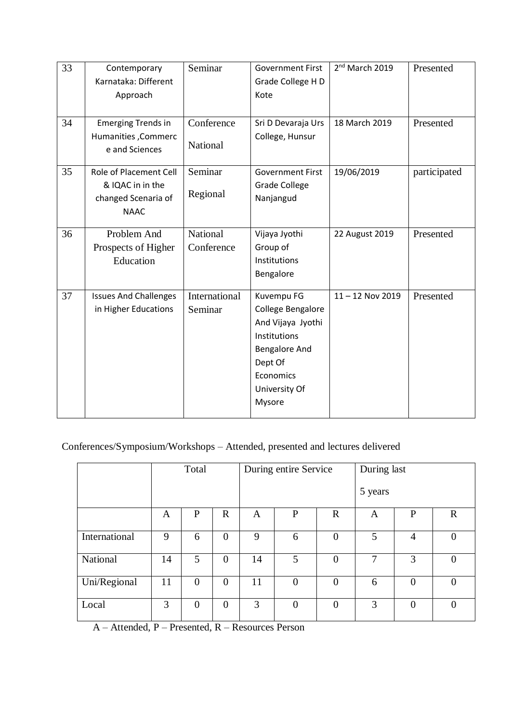| 33<br>34 | Contemporary<br>Karnataka: Different<br>Approach<br><b>Emerging Trends in</b>    | Seminar<br>Conference    | <b>Government First</b><br>Grade College H D<br>Kote<br>Sri D Devaraja Urs                                                                      | 2 <sup>nd</sup> March 2019<br>18 March 2019 | Presented<br>Presented |
|----------|----------------------------------------------------------------------------------|--------------------------|-------------------------------------------------------------------------------------------------------------------------------------------------|---------------------------------------------|------------------------|
|          | Humanities, Commerc<br>e and Sciences                                            | National                 | College, Hunsur                                                                                                                                 |                                             |                        |
| 35       | Role of Placement Cell<br>& IQAC in in the<br>changed Scenaria of<br><b>NAAC</b> | Seminar<br>Regional      | <b>Government First</b><br><b>Grade College</b><br>Nanjangud                                                                                    | 19/06/2019                                  | participated           |
| 36       | Problem And<br>Prospects of Higher<br>Education                                  | National<br>Conference   | Vijaya Jyothi<br>Group of<br>Institutions<br>Bengalore                                                                                          | 22 August 2019                              | Presented              |
| 37       | <b>Issues And Challenges</b><br>in Higher Educations                             | International<br>Seminar | Kuvempu FG<br>College Bengalore<br>And Vijaya Jyothi<br>Institutions<br><b>Bengalore And</b><br>Dept Of<br>Economics<br>University Of<br>Mysore | $11 - 12$ Nov 2019                          | Presented              |

## Conferences/Symposium/Workshops – Attended, presented and lectures delivered

|               |    | Total          |                |    | During entire Service |                |         | During last    |                  |  |
|---------------|----|----------------|----------------|----|-----------------------|----------------|---------|----------------|------------------|--|
|               |    |                |                |    |                       |                | 5 years |                |                  |  |
|               | A  | P              | $\mathbf R$    | A  | $\mathbf{P}$          | $\mathbf R$    | A       | P              | $\mathbf R$      |  |
| International | 9  | 6              | $\overline{0}$ | 9  | 6                     | $\overline{0}$ | 5       | 4              | $\boldsymbol{0}$ |  |
| National      | 14 | 5              | $\overline{0}$ | 14 | 5                     | $\overline{0}$ | 7       | 3              | $\theta$         |  |
| Uni/Regional  | 11 | $\overline{0}$ | $\overline{0}$ | 11 | $\overline{0}$        | $\overline{0}$ | 6       | $\overline{0}$ | $\theta$         |  |
| Local         | 3  | $\overline{0}$ | $\overline{0}$ | 3  | $\overline{0}$        | $\overline{0}$ | 3       | $\overline{0}$ | $\Omega$         |  |

A – Attended, P – Presented, R – Resources Person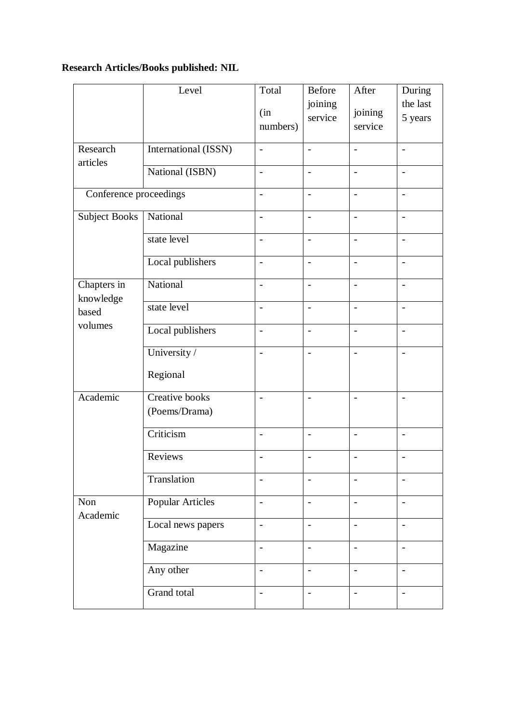# **Research Articles/Books published: NIL**

|                                              | Level                           | Total                    | Before                   | After                    | During                   |
|----------------------------------------------|---------------------------------|--------------------------|--------------------------|--------------------------|--------------------------|
|                                              |                                 | (in<br>numbers)          | joining<br>service       | joining<br>service       | the last<br>5 years      |
| Research<br>articles                         | International (ISSN)            | $\frac{1}{2}$            | $\overline{a}$           | $\overline{a}$           | $\overline{a}$           |
|                                              | National (ISBN)                 | $\overline{\phantom{a}}$ | $\overline{\phantom{a}}$ | $\overline{\phantom{a}}$ | $\overline{\phantom{a}}$ |
| Conference proceedings                       |                                 | $\overline{a}$           |                          | $\overline{a}$           | $\overline{\phantom{0}}$ |
| <b>Subject Books</b>                         | National                        | $\frac{1}{2}$            | $\overline{\phantom{a}}$ | $\overline{\phantom{a}}$ | $\overline{a}$           |
|                                              | state level                     | $\overline{\phantom{0}}$ | $\blacksquare$           | $\overline{a}$           | $\overline{\phantom{0}}$ |
|                                              | Local publishers                | $\overline{a}$           |                          | $\overline{a}$           | $\overline{\phantom{0}}$ |
| Chapters in<br>knowledge<br>based<br>volumes | National                        | $\overline{\phantom{a}}$ | $\blacksquare$           | $\overline{a}$           | $\overline{\phantom{a}}$ |
|                                              | state level                     | $\overline{a}$           |                          | $\overline{a}$           | $\overline{a}$           |
|                                              | Local publishers                | $\blacksquare$           | $\overline{\phantom{a}}$ | $\overline{a}$           | $\overline{\phantom{0}}$ |
|                                              | University /                    | $\overline{a}$           | $\blacksquare$           | $\overline{a}$           | $\overline{a}$           |
|                                              | Regional                        |                          |                          |                          |                          |
| Academic                                     | Creative books<br>(Poems/Drama) | $\overline{\phantom{a}}$ | $\overline{\phantom{a}}$ | $\overline{a}$           | $\overline{a}$           |
|                                              | Criticism                       | $\overline{\phantom{a}}$ | $\blacksquare$           | $\overline{a}$           | $\overline{\phantom{a}}$ |
|                                              | Reviews                         | $\overline{a}$           |                          | $\overline{a}$           |                          |
|                                              | Translation                     | $\overline{\phantom{0}}$ | $\overline{\phantom{0}}$ | $\overline{a}$           | $\overline{\phantom{0}}$ |
| Non<br>Academic                              | <b>Popular Articles</b>         | $\overline{a}$           | $\blacksquare$           | $\overline{\phantom{0}}$ | $\overline{\phantom{0}}$ |
|                                              | Local news papers               | $\overline{a}$           | $\overline{\phantom{a}}$ | $\overline{\phantom{a}}$ | $\overline{\phantom{a}}$ |
|                                              | Magazine                        | $\frac{1}{2}$            | $\overline{\phantom{a}}$ | $\overline{a}$           | $\overline{\phantom{a}}$ |
|                                              | Any other                       | $\frac{1}{2}$            | $\blacksquare$           | $\overline{a}$           | $\overline{\phantom{a}}$ |
|                                              | Grand total                     | $\overline{a}$           | $\overline{\phantom{a}}$ | $\overline{\phantom{0}}$ | $\overline{a}$           |